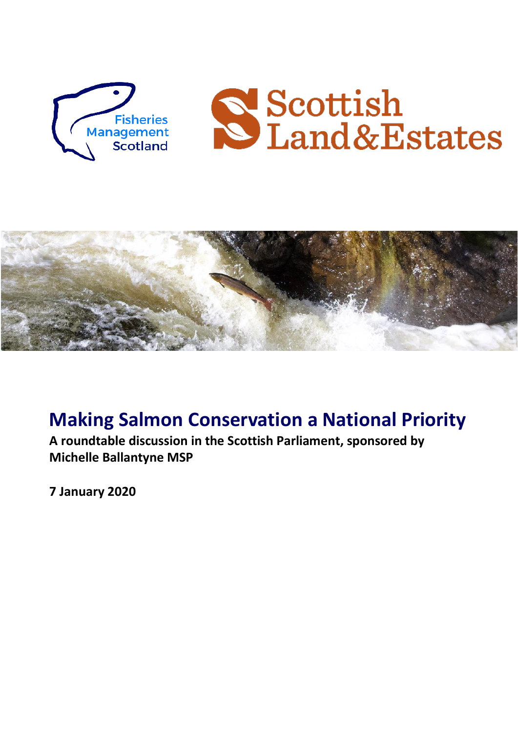



# **Making Salmon Conservation a National Priority**

**A roundtable discussion in the Scottish Parliament, sponsored by Michelle Ballantyne MSP**

**7 January 2020**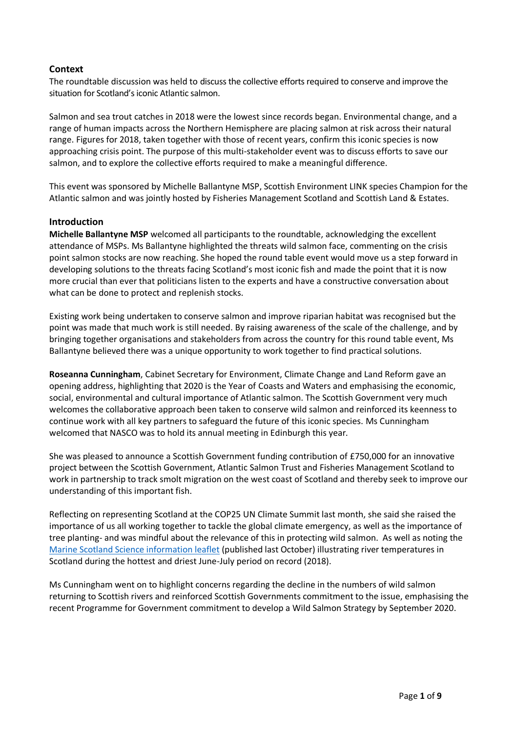## **Context**

The roundtable discussion was held to discuss the collective efforts required to conserve and improve the situation for Scotland's iconic Atlantic salmon.

Salmon and sea trout catches in 2018 were the lowest since records began. Environmental change, and a range of human impacts across the Northern Hemisphere are placing salmon at risk across their natural range. Figures for 2018, taken together with those of recent years, confirm this iconic species is now approaching crisis point. The purpose of this multi-stakeholder event was to discuss efforts to save our salmon, and to explore the collective efforts required to make a meaningful difference.

This event was sponsored by Michelle Ballantyne MSP, Scottish Environment LINK species Champion for the Atlantic salmon and was jointly hosted by Fisheries Management Scotland and Scottish Land & Estates.

#### **Introduction**

**Michelle Ballantyne MSP** welcomed all participants to the roundtable, acknowledging the excellent attendance of MSPs. Ms Ballantyne highlighted the threats wild salmon face, commenting on the crisis point salmon stocks are now reaching. She hoped the round table event would move us a step forward in developing solutions to the threats facing Scotland's most iconic fish and made the point that it is now more crucial than ever that politicians listen to the experts and have a constructive conversation about what can be done to protect and replenish stocks.

Existing work being undertaken to conserve salmon and improve riparian habitat was recognised but the point was made that much work is still needed. By raising awareness of the scale of the challenge, and by bringing together organisations and stakeholders from across the country for this round table event, Ms Ballantyne believed there was a unique opportunity to work together to find practical solutions.

**Roseanna Cunningham**, Cabinet Secretary for Environment, Climate Change and Land Reform gave an opening address, highlighting that 2020 is the Year of Coasts and Waters and emphasising the economic, social, environmental and cultural importance of Atlantic salmon. The Scottish Government very much welcomes the collaborative approach been taken to conserve wild salmon and reinforced its keenness to continue work with all key partners to safeguard the future of this iconic species. Ms Cunningham welcomed that NASCO was to hold its annual meeting in Edinburgh this year.

She was pleased to announce a Scottish Government funding contribution of £750,000 for an innovative project between the Scottish Government, Atlantic Salmon Trust and Fisheries Management Scotland to work in partnership to track smolt migration on the west coast of Scotland and thereby seek to improve our understanding of this important fish.

Reflecting on representing Scotland at the COP25 UN Climate Summit last month, she said she raised the importance of us all working together to tackle the global climate emergency, as well as the importance of tree planting- and was mindful about the relevance of this in protecting wild salmon. As well as noting the [Marine Scotland Science information leaflet](https://www2.gov.scot/Resource/0054/00548594.pdf) (published last October) illustrating river temperatures in Scotland during the hottest and driest June-July period on record (2018).

Ms Cunningham went on to highlight concerns regarding the decline in the numbers of wild salmon returning to Scottish rivers and reinforced Scottish Governments commitment to the issue, emphasising the recent Programme for Government commitment to develop a Wild Salmon Strategy by September 2020.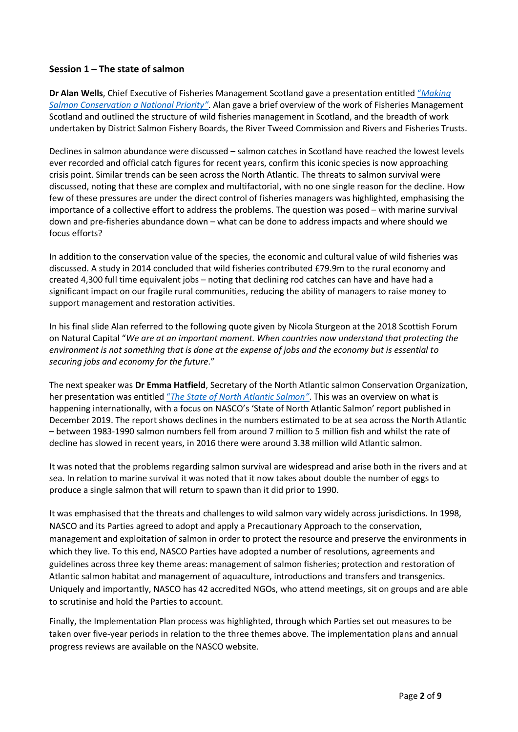# **Session 1 – The state of salmon**

**Dr Alan Wells**, Chief Executive of Fisheries Management Scotland gave a presentation entitled "*[Making](http://fms.scot/wp-content/uploads/2020/01/200107-1-Alan-Wells-Introduction.pdf)  [Salmon Conservation a National Priority](http://fms.scot/wp-content/uploads/2020/01/200107-1-Alan-Wells-Introduction.pdf)"*. Alan gave a brief overview of the work of Fisheries Management Scotland and outlined the structure of wild fisheries management in Scotland, and the breadth of work undertaken by District Salmon Fishery Boards, the River Tweed Commission and Rivers and Fisheries Trusts.

Declines in salmon abundance were discussed – salmon catches in Scotland have reached the lowest levels ever recorded and official catch figures for recent years, confirm this iconic species is now approaching crisis point. Similar trends can be seen across the North Atlantic. The threats to salmon survival were discussed, noting that these are complex and multifactorial, with no one single reason for the decline. How few of these pressures are under the direct control of fisheries managers was highlighted, emphasising the importance of a collective effort to address the problems. The question was posed – with marine survival down and pre-fisheries abundance down – what can be done to address impacts and where should we focus efforts?

In addition to the conservation value of the species, the economic and cultural value of wild fisheries was discussed. A study in 2014 concluded that wild fisheries contributed £79.9m to the rural economy and created 4,300 full time equivalent jobs – noting that declining rod catches can have and have had a significant impact on our fragile rural communities, reducing the ability of managers to raise money to support management and restoration activities.

In his final slide Alan referred to the following quote given by Nicola Sturgeon at the 2018 Scottish Forum on Natural Capital "*We are at an important moment. When countries now understand that protecting the environment is not something that is done at the expense of jobs and the economy but is essential to securing jobs and economy for the future*."

The next speaker was **Dr Emma Hatfield**, Secretary of the North Atlantic salmon Conservation Organization, her presentation was entitled "*[The State of North Atlantic Salmon](http://fms.scot/wp-content/uploads/2020/01/200107-2-Emma-Hatfield.pdf)"*. This was an overview on what is happening internationally, with a focus on NASCO's 'State of North Atlantic Salmon' report published in December 2019. The report shows declines in the numbers estimated to be at sea across the North Atlantic – between 1983-1990 salmon numbers fell from around 7 million to 5 million fish and whilst the rate of decline has slowed in recent years, in 2016 there were around 3.38 million wild Atlantic salmon.

It was noted that the problems regarding salmon survival are widespread and arise both in the rivers and at sea. In relation to marine survival it was noted that it now takes about double the number of eggs to produce a single salmon that will return to spawn than it did prior to 1990.

It was emphasised that the threats and challenges to wild salmon vary widely across jurisdictions. In 1998, NASCO and its Parties agreed to adopt and apply a Precautionary Approach to the conservation, management and exploitation of salmon in order to protect the resource and preserve the environments in which they live. To this end, NASCO Parties have adopted a number of resolutions, agreements and guidelines across three key theme areas: management of salmon fisheries; protection and restoration of Atlantic salmon habitat and management of aquaculture, introductions and transfers and transgenics. Uniquely and importantly, NASCO has 42 accredited NGOs, who attend meetings, sit on groups and are able to scrutinise and hold the Parties to account.

Finally, the Implementation Plan process was highlighted, through which Parties set out measures to be taken over five-year periods in relation to the three themes above. The implementation plans and annual progress reviews are available on the NASCO website.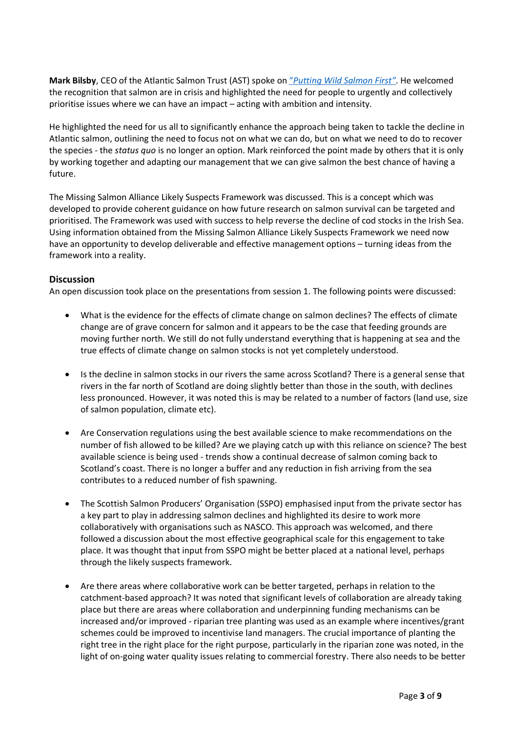**Mark Bilsby**, CEO of the Atlantic Salmon Trust (AST) spoke on "*[Putting Wild Salmon First](http://fms.scot/wp-content/uploads/2020/01/200107-3-Mark-Bilsby.pdf)"*. He welcomed the recognition that salmon are in crisis and highlighted the need for people to urgently and collectively prioritise issues where we can have an impact – acting with ambition and intensity.

He highlighted the need for us all to significantly enhance the approach being taken to tackle the decline in Atlantic salmon, outlining the need to focus not on what we can do, but on what we need to do to recover the species - the *status quo* is no longer an option. Mark reinforced the point made by others that it is only by working together and adapting our management that we can give salmon the best chance of having a future.

The Missing Salmon Alliance Likely Suspects Framework was discussed. This is a concept which was developed to provide coherent guidance on how future research on salmon survival can be targeted and prioritised. The Framework was used with success to help reverse the decline of cod stocks in the Irish Sea. Using information obtained from the Missing Salmon Alliance Likely Suspects Framework we need now have an opportunity to develop deliverable and effective management options – turning ideas from the framework into a reality.

### **Discussion**

An open discussion took place on the presentations from session 1. The following points were discussed:

- What is the evidence for the effects of climate change on salmon declines? The effects of climate change are of grave concern for salmon and it appears to be the case that feeding grounds are moving further north. We still do not fully understand everything that is happening at sea and the true effects of climate change on salmon stocks is not yet completely understood.
- Is the decline in salmon stocks in our rivers the same across Scotland? There is a general sense that rivers in the far north of Scotland are doing slightly better than those in the south, with declines less pronounced. However, it was noted this is may be related to a number of factors (land use, size of salmon population, climate etc).
- Are Conservation regulations using the best available science to make recommendations on the number of fish allowed to be killed? Are we playing catch up with this reliance on science? The best available science is being used - trends show a continual decrease of salmon coming back to Scotland's coast. There is no longer a buffer and any reduction in fish arriving from the sea contributes to a reduced number of fish spawning.
- The Scottish Salmon Producers' Organisation (SSPO) emphasised input from the private sector has a key part to play in addressing salmon declines and highlighted its desire to work more collaboratively with organisations such as NASCO. This approach was welcomed, and there followed a discussion about the most effective geographical scale for this engagement to take place. It was thought that input from SSPO might be better placed at a national level, perhaps through the likely suspects framework.
- Are there areas where collaborative work can be better targeted, perhaps in relation to the catchment-based approach? It was noted that significant levels of collaboration are already taking place but there are areas where collaboration and underpinning funding mechanisms can be increased and/or improved - riparian tree planting was used as an example where incentives/grant schemes could be improved to incentivise land managers. The crucial importance of planting the right tree in the right place for the right purpose, particularly in the riparian zone was noted, in the light of on-going water quality issues relating to commercial forestry. There also needs to be better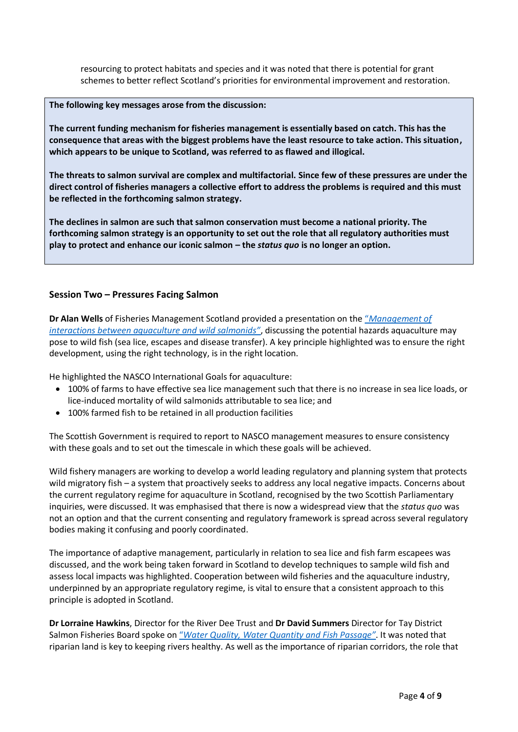resourcing to protect habitats and species and it was noted that there is potential for grant schemes to better reflect Scotland's priorities for environmental improvement and restoration.

#### **The following key messages arose from the discussion:**

**The current funding mechanism for fisheries management is essentially based on catch. This has the consequence that areas with the biggest problems have the least resource to take action. This situation, which appears to be unique to Scotland, was referred to as flawed and illogical.**

**The threats to salmon survival are complex and multifactorial. Since few of these pressures are under the direct control of fisheries managers a collective effort to address the problems is required and this must be reflected in the forthcoming salmon strategy.**

**The declines in salmon are such that salmon conservation must become a national priority. The forthcoming salmon strategy is an opportunity to set out the role that all regulatory authorities must play to protect and enhance our iconic salmon – the** *status quo* **is no longer an option.**

### **Session Two – Pressures Facing Salmon**

**Dr Alan Wells** of Fisheries Management Scotland provided a presentation on the "*[Management of](http://fms.scot/wp-content/uploads/2020/01/200107-4-Alan-Wells-Aquaculture-Interactions.pdf)  [interactions between aquaculture and wild salmonids"](http://fms.scot/wp-content/uploads/2020/01/200107-4-Alan-Wells-Aquaculture-Interactions.pdf)*, discussing the potential hazards aquaculture may pose to wild fish (sea lice, escapes and disease transfer). A key principle highlighted was to ensure the right development, using the right technology, is in the right location.

He highlighted the NASCO International Goals for aquaculture:

- 100% of farms to have effective sea lice management such that there is no increase in sea lice loads, or lice-induced mortality of wild salmonids attributable to sea lice; and
- 100% farmed fish to be retained in all production facilities

The Scottish Government is required to report to NASCO management measures to ensure consistency with these goals and to set out the timescale in which these goals will be achieved.

Wild fishery managers are working to develop a world leading regulatory and planning system that protects wild migratory fish – a system that proactively seeks to address any local negative impacts. Concerns about the current regulatory regime for aquaculture in Scotland, recognised by the two Scottish Parliamentary inquiries, were discussed. It was emphasised that there is now a widespread view that the *status quo* was not an option and that the current consenting and regulatory framework is spread across several regulatory bodies making it confusing and poorly coordinated.

The importance of adaptive management, particularly in relation to sea lice and fish farm escapees was discussed, and the work being taken forward in Scotland to develop techniques to sample wild fish and assess local impacts was highlighted. Cooperation between wild fisheries and the aquaculture industry, underpinned by an appropriate regulatory regime, is vital to ensure that a consistent approach to this principle is adopted in Scotland.

**Dr Lorraine Hawkins**, Director for the River Dee Trust and **Dr David Summers** Director for Tay District Salmon Fisheries Board spoke on "*[Water Quality, Water Quantity and Fish Passage](http://fms.scot/wp-content/uploads/2020/01/200107-5-Lorraine-Hawkins-and-David-Summers.pdf)"*. It was noted that riparian land is key to keeping rivers healthy. As well as the importance of riparian corridors, the role that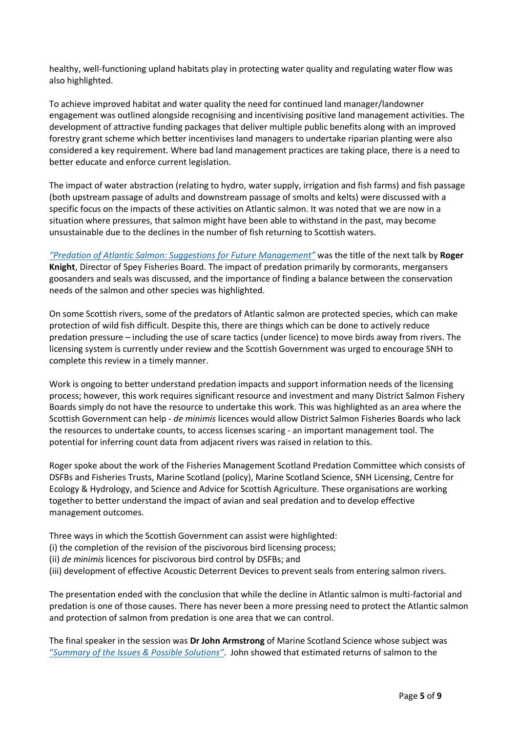healthy, well-functioning upland habitats play in protecting water quality and regulating water flow was also highlighted.

To achieve improved habitat and water quality the need for continued land manager/landowner engagement was outlined alongside recognising and incentivising positive land management activities. The development of attractive funding packages that deliver multiple public benefits along with an improved forestry grant scheme which better incentivises land managers to undertake riparian planting were also considered a key requirement. Where bad land management practices are taking place, there is a need to better educate and enforce current legislation.

The impact of water abstraction (relating to hydro, water supply, irrigation and fish farms) and fish passage (both upstream passage of adults and downstream passage of smolts and kelts) were discussed with a specific focus on the impacts of these activities on Atlantic salmon. It was noted that we are now in a situation where pressures, that salmon might have been able to withstand in the past, may become unsustainable due to the declines in the number of fish returning to Scottish waters.

*"[Predation of Atlantic Salmon: Suggestions for Future Management](http://fms.scot/wp-content/uploads/2020/01/200107-6-Roger-Knight.pdf)"* was the title of the next talk by **Roger Knight**, Director of Spey Fisheries Board. The impact of predation primarily by cormorants, mergansers goosanders and seals was discussed, and the importance of finding a balance between the conservation needs of the salmon and other species was highlighted.

On some Scottish rivers, some of the predators of Atlantic salmon are protected species, which can make protection of wild fish difficult. Despite this, there are things which can be done to actively reduce predation pressure – including the use of scare tactics (under licence) to move birds away from rivers. The licensing system is currently under review and the Scottish Government was urged to encourage SNH to complete this review in a timely manner.

Work is ongoing to better understand predation impacts and support information needs of the licensing process; however, this work requires significant resource and investment and many District Salmon Fishery Boards simply do not have the resource to undertake this work. This was highlighted as an area where the Scottish Government can help - *de minimis* licences would allow District Salmon Fisheries Boards who lack the resources to undertake counts, to access licenses scaring - an important management tool. The potential for inferring count data from adjacent rivers was raised in relation to this.

Roger spoke about the work of the Fisheries Management Scotland Predation Committee which consists of DSFBs and Fisheries Trusts, Marine Scotland (policy), Marine Scotland Science, SNH Licensing, Centre for Ecology & Hydrology, and Science and Advice for Scottish Agriculture. These organisations are working together to better understand the impact of avian and seal predation and to develop effective management outcomes.

Three ways in which the Scottish Government can assist were highlighted:

- (i) the completion of the revision of the piscivorous bird licensing process;
- (ii) *de minimis* licences for piscivorous bird control by DSFBs; and
- (iii) development of effective Acoustic Deterrent Devices to prevent seals from entering salmon rivers.

The presentation ended with the conclusion that while the decline in Atlantic salmon is multi-factorial and predation is one of those causes. There has never been a more pressing need to protect the Atlantic salmon and protection of salmon from predation is one area that we can control.

The final speaker in the session was **Dr John Armstrong** of Marine Scotland Science whose subject was "*[Summary of the Issues & Possible Solutions](http://fms.scot/wp-content/uploads/2020/01/200107-7-John-Armstrong.pdf)"*. John showed that estimated returns of salmon to the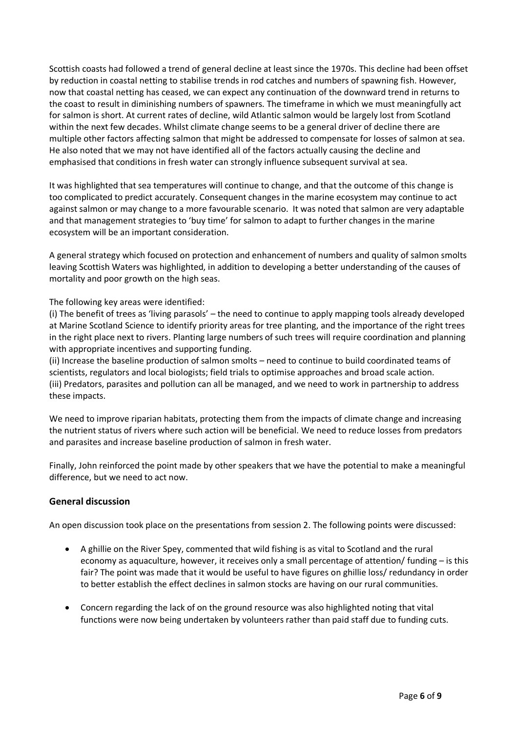Scottish coasts had followed a trend of general decline at least since the 1970s. This decline had been offset by reduction in coastal netting to stabilise trends in rod catches and numbers of spawning fish. However, now that coastal netting has ceased, we can expect any continuation of the downward trend in returns to the coast to result in diminishing numbers of spawners. The timeframe in which we must meaningfully act for salmon is short. At current rates of decline, wild Atlantic salmon would be largely lost from Scotland within the next few decades. Whilst climate change seems to be a general driver of decline there are multiple other factors affecting salmon that might be addressed to compensate for losses of salmon at sea. He also noted that we may not have identified all of the factors actually causing the decline and emphasised that conditions in fresh water can strongly influence subsequent survival at sea.

It was highlighted that sea temperatures will continue to change, and that the outcome of this change is too complicated to predict accurately. Consequent changes in the marine ecosystem may continue to act against salmon or may change to a more favourable scenario. It was noted that salmon are very adaptable and that management strategies to 'buy time' for salmon to adapt to further changes in the marine ecosystem will be an important consideration.

A general strategy which focused on protection and enhancement of numbers and quality of salmon smolts leaving Scottish Waters was highlighted, in addition to developing a better understanding of the causes of mortality and poor growth on the high seas.

The following key areas were identified:

(i) The benefit of trees as 'living parasols' – the need to continue to apply mapping tools already developed at Marine Scotland Science to identify priority areas for tree planting, and the importance of the right trees in the right place next to rivers. Planting large numbers of such trees will require coordination and planning with appropriate incentives and supporting funding.

(ii) Increase the baseline production of salmon smolts – need to continue to build coordinated teams of scientists, regulators and local biologists; field trials to optimise approaches and broad scale action. (iii) Predators, parasites and pollution can all be managed, and we need to work in partnership to address these impacts.

We need to improve riparian habitats, protecting them from the impacts of climate change and increasing the nutrient status of rivers where such action will be beneficial. We need to reduce losses from predators and parasites and increase baseline production of salmon in fresh water.

Finally, John reinforced the point made by other speakers that we have the potential to make a meaningful difference, but we need to act now.

# **General discussion**

An open discussion took place on the presentations from session 2. The following points were discussed:

- A ghillie on the River Spey, commented that wild fishing is as vital to Scotland and the rural economy as aquaculture, however, it receives only a small percentage of attention/ funding – is this fair? The point was made that it would be useful to have figures on ghillie loss/ redundancy in order to better establish the effect declines in salmon stocks are having on our rural communities.
- Concern regarding the lack of on the ground resource was also highlighted noting that vital functions were now being undertaken by volunteers rather than paid staff due to funding cuts.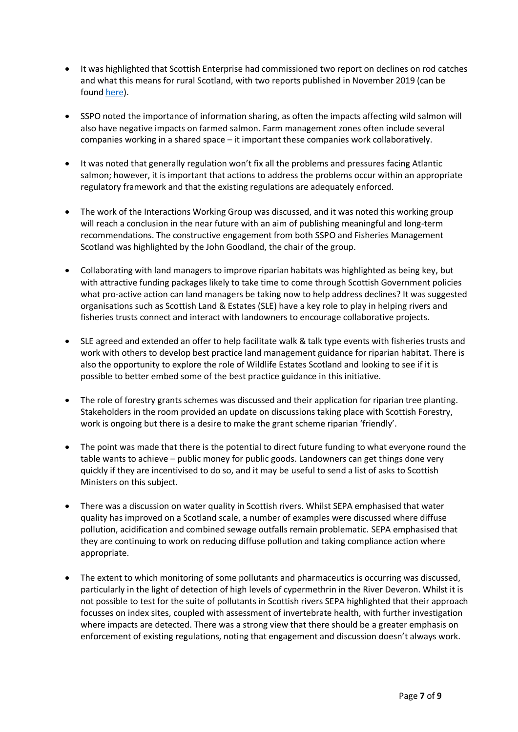- It was highlighted that Scottish Enterprise had commissioned two report on declines on rod catches and what this means for rural Scotland, with two reports published in November 2019 (can be foun[d here\)](http://fms.scot/category/publications/).
- SSPO noted the importance of information sharing, as often the impacts affecting wild salmon will also have negative impacts on farmed salmon. Farm management zones often include several companies working in a shared space – it important these companies work collaboratively.
- It was noted that generally regulation won't fix all the problems and pressures facing Atlantic salmon; however, it is important that actions to address the problems occur within an appropriate regulatory framework and that the existing regulations are adequately enforced.
- The work of the Interactions Working Group was discussed, and it was noted this working group will reach a conclusion in the near future with an aim of publishing meaningful and long-term recommendations. The constructive engagement from both SSPO and Fisheries Management Scotland was highlighted by the John Goodland, the chair of the group.
- Collaborating with land managers to improve riparian habitats was highlighted as being key, but with attractive funding packages likely to take time to come through Scottish Government policies what pro-active action can land managers be taking now to help address declines? It was suggested organisations such as Scottish Land & Estates (SLE) have a key role to play in helping rivers and fisheries trusts connect and interact with landowners to encourage collaborative projects.
- SLE agreed and extended an offer to help facilitate walk & talk type events with fisheries trusts and work with others to develop best practice land management guidance for riparian habitat. There is also the opportunity to explore the role of Wildlife Estates Scotland and looking to see if it is possible to better embed some of the best practice guidance in this initiative.
- The role of forestry grants schemes was discussed and their application for riparian tree planting. Stakeholders in the room provided an update on discussions taking place with Scottish Forestry, work is ongoing but there is a desire to make the grant scheme riparian 'friendly'.
- The point was made that there is the potential to direct future funding to what everyone round the table wants to achieve – public money for public goods. Landowners can get things done very quickly if they are incentivised to do so, and it may be useful to send a list of asks to Scottish Ministers on this subject.
- There was a discussion on water quality in Scottish rivers. Whilst SEPA emphasised that water quality has improved on a Scotland scale, a number of examples were discussed where diffuse pollution, acidification and combined sewage outfalls remain problematic. SEPA emphasised that they are continuing to work on reducing diffuse pollution and taking compliance action where appropriate.
- The extent to which monitoring of some pollutants and pharmaceutics is occurring was discussed, particularly in the light of detection of high levels of cypermethrin in the River Deveron. Whilst it is not possible to test for the suite of pollutants in Scottish rivers SEPA highlighted that their approach focusses on index sites, coupled with assessment of invertebrate health, with further investigation where impacts are detected. There was a strong view that there should be a greater emphasis on enforcement of existing regulations, noting that engagement and discussion doesn't always work.